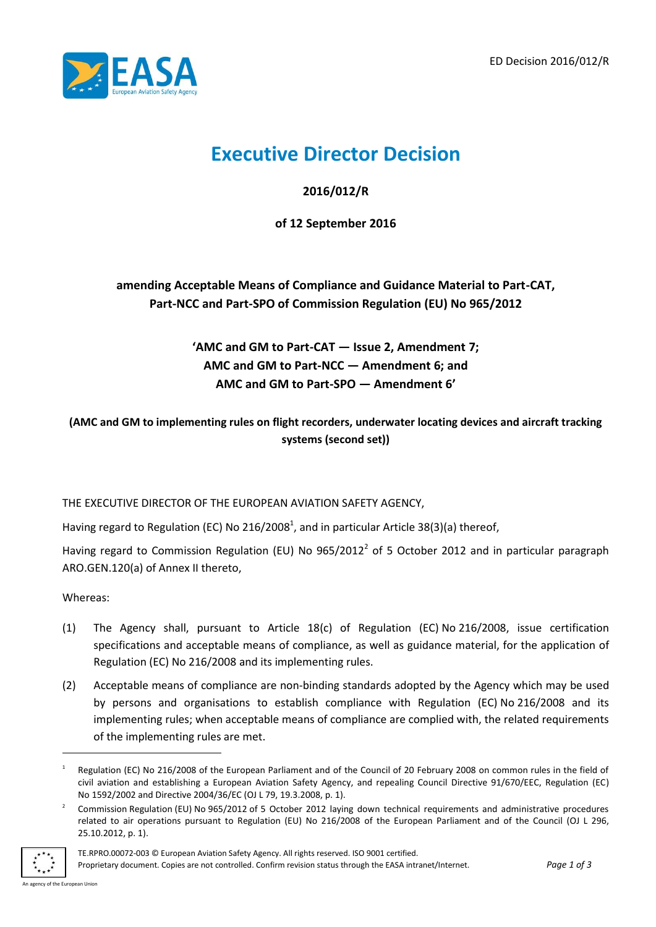

# **Executive Director Decision**

**2016/012/R**

**of 12 September 2016**

**amending Acceptable Means of Compliance and Guidance Material to Part-CAT, Part-NCC and Part-SPO of Commission Regulation (EU) No 965/2012**

> **'AMC and GM to Part-CAT — Issue 2, Amendment 7; AMC and GM to Part-NCC — Amendment 6; and AMC and GM to Part-SPO — Amendment 6'**

**(AMC and GM to implementing rules on flight recorders, underwater locating devices and aircraft tracking systems (second set))**

THE EXECUTIVE DIRECTOR OF THE EUROPEAN AVIATION SAFETY AGENCY,

Having regard to Regulation (EC) No 216/2008<sup>1</sup>, and in particular Article 38(3)(a) thereof,

Having regard to Commission Regulation (EU) No  $965/2012^2$  of 5 October 2012 and in particular paragraph ARO.GEN.120(a) of Annex II thereto,

Whereas:

- (1) The Agency shall, pursuant to Article 18(c) of Regulation (EC) No 216/2008, issue certification specifications and acceptable means of compliance, as well as guidance material, for the application of Regulation (EC) No 216/2008 and its implementing rules.
- (2) Acceptable means of compliance are non-binding standards adopted by the Agency which may be used by persons and organisations to establish compliance with Regulation (EC) No 216/2008 and its implementing rules; when acceptable means of compliance are complied with, the related requirements of the implementing rules are met.

<sup>2</sup> Commission Regulation (EU) No 965/2012 of 5 October 2012 laying down technical requirements and administrative procedures related to air operations pursuant to Regulation (EU) No 216/2008 of the European Parliament and of the Council (OJ L 296, 25.10.2012, p. 1).



Proprietary document. Copies are not controlled. Confirm revision status through the EASA intranet/Internet. *Page 1 of 3*

-

<sup>1</sup> Regulation (EC) No 216/2008 of the European Parliament and of the Council of 20 February 2008 on common rules in the field of civil aviation and establishing a European Aviation Safety Agency, and repealing Council Directive 91/670/EEC, Regulation (EC) No 1592/2002 and Directive 2004/36/EC (OJ L 79, 19.3.2008, p. 1).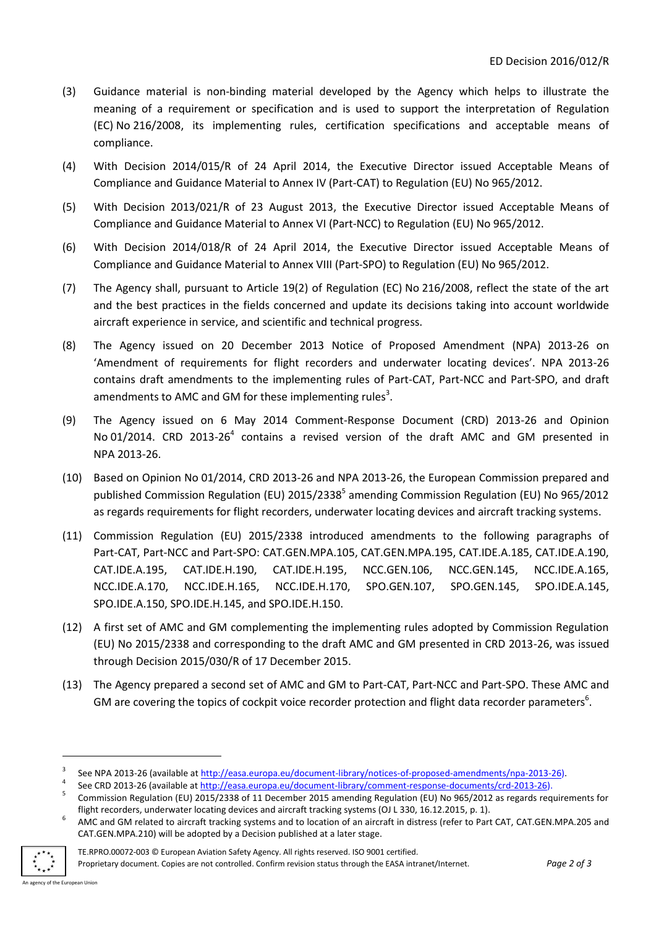- (3) Guidance material is non-binding material developed by the Agency which helps to illustrate the meaning of a requirement or specification and is used to support the interpretation of Regulation (EC) No 216/2008, its implementing rules, certification specifications and acceptable means of compliance.
- (4) With Decision 2014/015/R of 24 April 2014, the Executive Director issued Acceptable Means of Compliance and Guidance Material to Annex IV (Part-CAT) to Regulation (EU) No 965/2012.
- (5) With Decision 2013/021/R of 23 August 2013, the Executive Director issued Acceptable Means of Compliance and Guidance Material to Annex VI (Part-NCC) to Regulation (EU) No 965/2012.
- (6) With Decision 2014/018/R of 24 April 2014, the Executive Director issued Acceptable Means of Compliance and Guidance Material to Annex VIII (Part-SPO) to Regulation (EU) No 965/2012.
- (7) The Agency shall, pursuant to Article 19(2) of Regulation (EC) No 216/2008, reflect the state of the art and the best practices in the fields concerned and update its decisions taking into account worldwide aircraft experience in service, and scientific and technical progress.
- (8) The Agency issued on 20 December 2013 Notice of Proposed Amendment (NPA) 2013-26 on 'Amendment of requirements for flight recorders and underwater locating devices'. NPA 2013-26 contains draft amendments to the implementing rules of Part-CAT, Part-NCC and Part-SPO, and draft amendments to AMC and GM for these implementing rules<sup>3</sup>.
- (9) The Agency issued on 6 May 2014 Comment-Response Document (CRD) 2013-26 and Opinion No 01/2014. CRD 2013-26<sup>4</sup> contains a revised version of the draft AMC and GM presented in NPA 2013-26.
- (10) Based on Opinion No 01/2014, CRD 2013-26 and NPA 2013-26, the European Commission prepared and published Commission Regulation (EU) 2015/2338<sup>5</sup> amending Commission Regulation (EU) No 965/2012 as regards requirements for flight recorders, underwater locating devices and aircraft tracking systems.
- (11) Commission Regulation (EU) 2015/2338 introduced amendments to the following paragraphs of Part-CAT, Part-NCC and Part-SPO: CAT.GEN.MPA.105, CAT.GEN.MPA.195, CAT.IDE.A.185, CAT.IDE.A.190, CAT.IDE.A.195, CAT.IDE.H.190, CAT.IDE.H.195, NCC.GEN.106, NCC.GEN.145, NCC.IDE.A.165, NCC.IDE.A.170, NCC.IDE.H.165, NCC.IDE.H.170, SPO.GEN.107, SPO.GEN.145, SPO.IDE.A.145, SPO.IDE.A.150, SPO.IDE.H.145, and SPO.IDE.H.150.
- (12) A first set of AMC and GM complementing the implementing rules adopted by Commission Regulation (EU) No 2015/2338 and corresponding to the draft AMC and GM presented in CRD 2013-26, was issued through Decision 2015/030/R of 17 December 2015.
- (13) The Agency prepared a second set of AMC and GM to Part-CAT, Part-NCC and Part-SPO. These AMC and GM are covering the topics of cockpit voice recorder protection and flight data recorder parameters $6$ .

<sup>6</sup> AMC and GM related to aircraft tracking systems and to location of an aircraft in distress (refer to Part CAT, CAT.GEN.MPA.205 and CAT.GEN.MPA.210) will be adopted by a Decision published at a later stage.



-

<sup>3</sup> See NPA 2013-26 (available a[t http://easa.europa.eu/document-library/notices-of-proposed-amendments/npa-2013-26\)](http://easa.europa.eu/document-library/notices-of-proposed-amendments/npa-2013-26).

<sup>4</sup> See CRD 2013-26 (available at [http://easa.europa.eu/document-library/comment-response-documents/crd-2013-26\)](http://easa.europa.eu/document-library/comment-response-documents/crd-2013-26).

<sup>5</sup> Commission Regulation (EU) 2015/2338 of 11 December 2015 amending Regulation (EU) No 965/2012 as regards requirements for flight recorders, underwater locating devices and aircraft tracking systems (OJ L 330, 16.12.2015, p. 1).